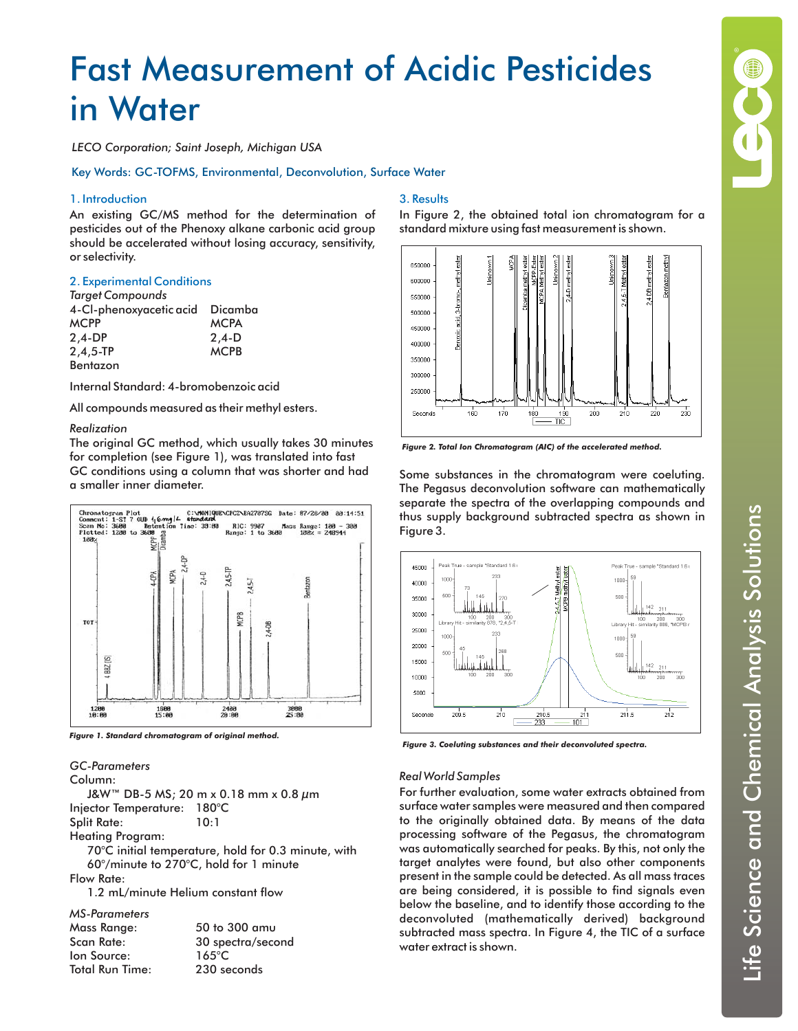# Fast Measurement of Acidic Pesticides in Water

*LECO Corporation; Saint Joseph, Michigan USA*

Key Words: GC-TOFMS, Environmental, Deconvolution, Surface Water

## 1. Introduction

An existing GC/MS method for the determination of pesticides out of the Phenoxy alkane carbonic acid group should be accelerated without losing accuracy, sensitivity, or selectivity.

### 2. Experimental Conditions

| <b>Target Compounds</b> |             |
|-------------------------|-------------|
| 4-Cl-phenoxyacetic acid | Dicamba     |
| <b>MCPP</b>             | <b>MCPA</b> |
| $2.4-DP$                | $2,4-D$     |
| $2, 4, 5 - TP$          | <b>MCPB</b> |
| Bentazon                |             |

Internal Standard: 4-bromobenzoic acid

All compounds measured as their methyl esters.

#### *Realization*

The original GC method, which usually takes 30 minutes for completion (see Figure 1), was translated into fast GC conditions using a column that was shorter and had a smaller inner diameter.



*Figure 1. Standard chromatogram of original method.*

# *GC-Parameters*

Column: J&W™ DB-5 MS; 20 m x 0.18 mm x 0.8 µm Injector Temperature: 180°C Split Rate: 10:1 Heating Program: 70°C initial temperature, hold for 0.3 minute, with 60°/minute to 270°C, hold for 1 minute Flow Rate: 1.2 mL/minute Helium constant flow  $300$  amu ectra/second *MS-Parameters*

| MS-ruidineiers  |                 |
|-----------------|-----------------|
| Mass Range:     | 50 to 300 ar    |
| Scan Rate:      | 30 spectra/s    |
| lon Source:     | $165^{\circ}$ C |
| Total Run Time: | 230 seconds     |
|                 |                 |

# 3. Results

In Figure 2, the obtained total ion chromatogram for a standard mixture using fast measurement is shown.



*Figure 2. Total Ion Chromatogram (AIC) of the accelerated method.*

Some substances in the chromatogram were coeluting. The Pegasus deconvolution software can mathematically separate the spectra of the overlapping compounds and thus supply background subtracted spectra as shown in Figure 3.



*Figure 3. Coeluting substances and their deconvoluted spectra.*

#### *Real World Samples*

For further evaluation, some water extracts obtained from surface water samples were measured and then compared to the originally obtained data. By means of the data processing software of the Pegasus, the chromatogram was automatically searched for peaks. By this, not only the target analytes were found, but also other components present in the sample could be detected. As all mass traces are being considered, it is possible to find signals even below the baseline, and to identify those according to the deconvoluted (mathematically derived) background subtracted mass spectra. In Figure 4, the TIC of a surface water extract is shown.

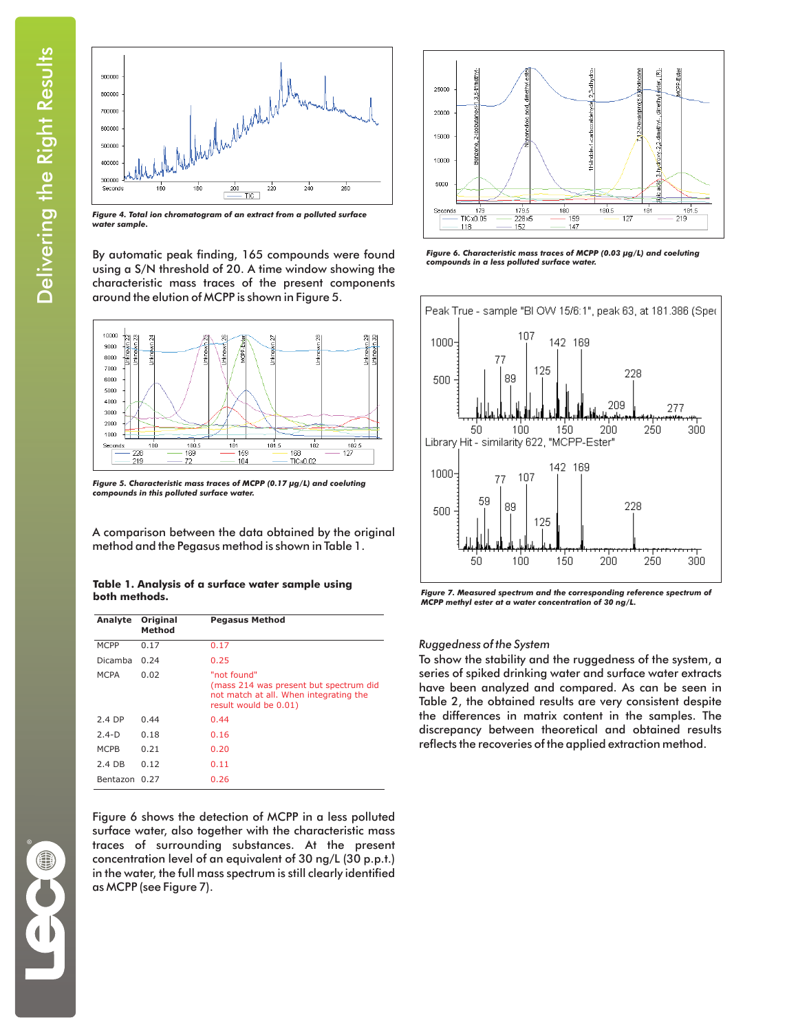

*Figure 4. Total ion chromatogram of an extract from a polluted surface water sample.*

By automatic peak finding, 165 compounds were found using a S/N threshold of 20. A time window showing the characteristic mass traces of the present components around the elution of MCPP is shown in Figure 5.



*Figure 5. Characteristic mass traces of MCPP (0.17 µg/L) and coeluting compounds in this polluted surface water.*

A comparison between the data obtained by the original method and the Pegasus method is shown in Table 1.

#### **Table 1. Analysis of a surface water sample using both methods.**

| Analyte       | Original<br>Method | <b>Pegasus Method</b>                                                                                                    |
|---------------|--------------------|--------------------------------------------------------------------------------------------------------------------------|
| <b>MCPP</b>   | 0.17               | 0.17                                                                                                                     |
| Dicamba       | 0.24               | 0.25                                                                                                                     |
| MCPA          | 0.02               | "not found"<br>(mass 214 was present but spectrum did<br>not match at all. When integrating the<br>result would be 0.01) |
| 2.4 DP        | 0.44               | 0.44                                                                                                                     |
| $2.4-D$       | 0.18               | 0.16                                                                                                                     |
| MCPB          | 0.21               | 0.20                                                                                                                     |
| 2.4 DB        | 0.12               | 0.11                                                                                                                     |
| Bentazon 0.27 |                    | 0.26                                                                                                                     |

Figure 6 shows the detection of MCPP in a less polluted surface water, also together with the characteristic mass traces of surrounding substances. At the present concentration level of an equivalent of 30 ng/L (30 p.p.t.) in the water, the full mass spectrum is still clearly identified as MCPP (see Figure 7).



*Figure 6. Characteristic mass traces of MCPP (0.03 µg/L) and coeluting compounds in a less polluted surface water.*



*Figure 7. Measured spectrum and the corresponding reference spectrum of MCPP methyl ester at a water concentration of 30 ng/L.*

# *Ruggedness of the System*

To show the stability and the ruggedness of the system, a series of spiked drinking water and surface water extracts have been analyzed and compared. As can be seen in Table 2, the obtained results are very consistent despite the differences in matrix content in the samples. The discrepancy between theoretical and obtained results reflects the recoveries of the applied extraction method.